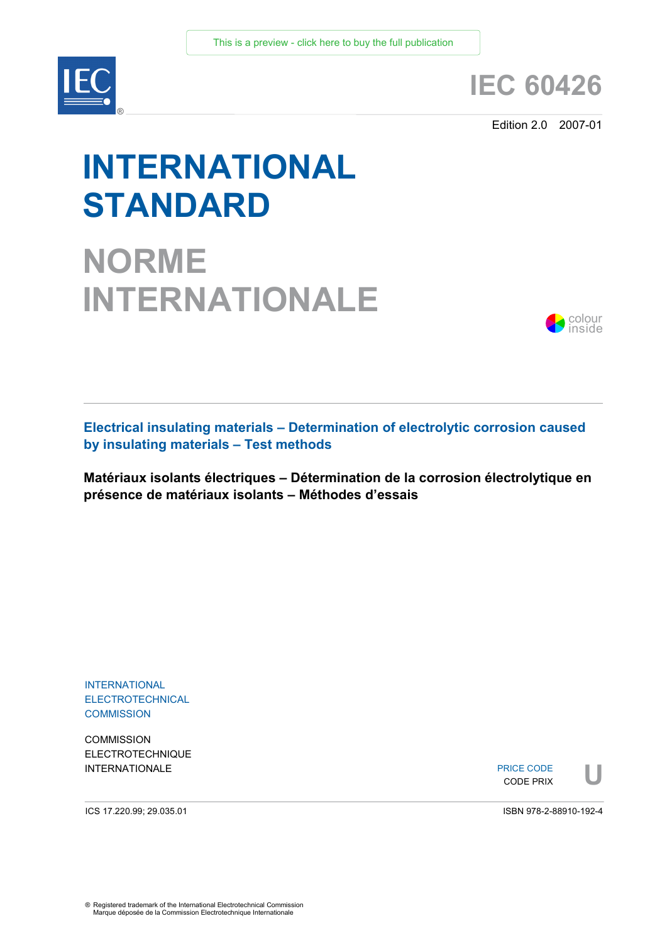

## **IEC 60426**

Edition 2.0 2007-01

# **INTERNATIONAL STANDARD**

**NORME INTERNATIONALE**



**Electrical insulating materials – Determination of electrolytic corrosion caused by insulating materials – Test methods** 

**Matériaux isolants électriques – Détermination de la corrosion électrolytique en présence de matériaux isolants – Méthodes d'essais** 

INTERNATIONAL ELECTROTECHNICAL **COMMISSION** 

**COMMISSION** ELECTROTECHNIQUE

INTERNATIONALE PRICE CODE PRICE CODE PRICE CODE PRICE CODE PRIX PRICE CODE CODE PRIX



ICS 17.220.99; 29.035.01

ISBN 978-2-88910-192-4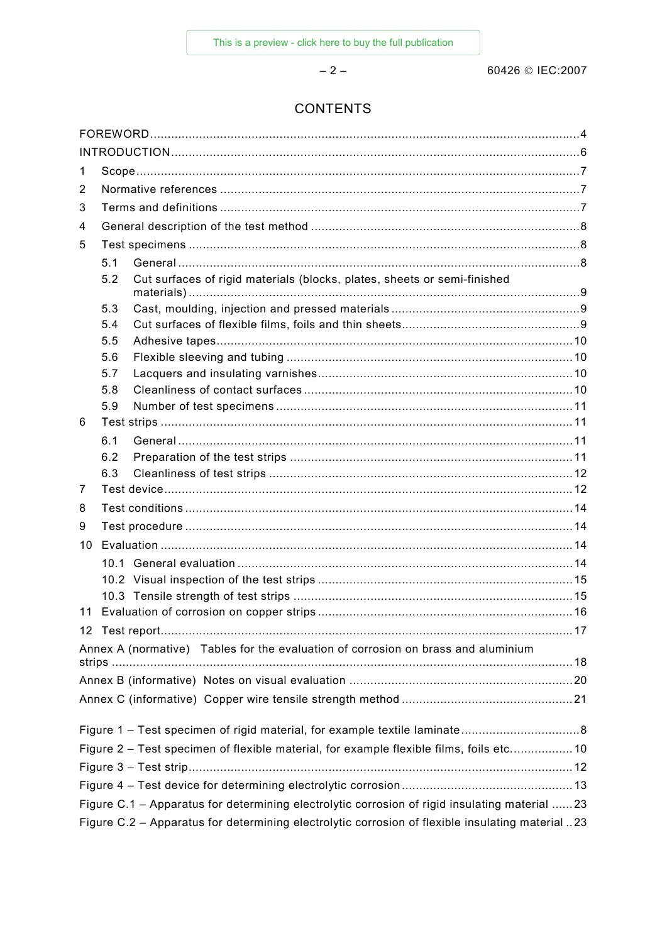$-2-$ 

### **CONTENTS**

| 1                                                                                                |     |                                                                                         |  |  |  |  |  |
|--------------------------------------------------------------------------------------------------|-----|-----------------------------------------------------------------------------------------|--|--|--|--|--|
| 2                                                                                                |     |                                                                                         |  |  |  |  |  |
| 3                                                                                                |     |                                                                                         |  |  |  |  |  |
| 4                                                                                                |     |                                                                                         |  |  |  |  |  |
| 5                                                                                                |     |                                                                                         |  |  |  |  |  |
|                                                                                                  | 5.1 |                                                                                         |  |  |  |  |  |
|                                                                                                  | 5.2 | Cut surfaces of rigid materials (blocks, plates, sheets or semi-finished                |  |  |  |  |  |
|                                                                                                  | 5.3 |                                                                                         |  |  |  |  |  |
|                                                                                                  | 5.4 |                                                                                         |  |  |  |  |  |
|                                                                                                  | 5.5 |                                                                                         |  |  |  |  |  |
|                                                                                                  | 5.6 |                                                                                         |  |  |  |  |  |
|                                                                                                  | 5.7 |                                                                                         |  |  |  |  |  |
|                                                                                                  | 5.8 |                                                                                         |  |  |  |  |  |
|                                                                                                  | 5.9 |                                                                                         |  |  |  |  |  |
| 6                                                                                                |     |                                                                                         |  |  |  |  |  |
|                                                                                                  | 6.1 |                                                                                         |  |  |  |  |  |
|                                                                                                  | 6.2 |                                                                                         |  |  |  |  |  |
| 7                                                                                                | 6.3 |                                                                                         |  |  |  |  |  |
| 8                                                                                                |     |                                                                                         |  |  |  |  |  |
|                                                                                                  |     |                                                                                         |  |  |  |  |  |
| 9                                                                                                |     |                                                                                         |  |  |  |  |  |
| 10                                                                                               |     |                                                                                         |  |  |  |  |  |
|                                                                                                  |     |                                                                                         |  |  |  |  |  |
|                                                                                                  |     |                                                                                         |  |  |  |  |  |
|                                                                                                  |     |                                                                                         |  |  |  |  |  |
|                                                                                                  |     |                                                                                         |  |  |  |  |  |
|                                                                                                  |     |                                                                                         |  |  |  |  |  |
|                                                                                                  |     | Annex A (normative) Tables for the evaluation of corrosion on brass and aluminium       |  |  |  |  |  |
|                                                                                                  |     |                                                                                         |  |  |  |  |  |
|                                                                                                  |     |                                                                                         |  |  |  |  |  |
|                                                                                                  |     |                                                                                         |  |  |  |  |  |
|                                                                                                  |     | Figure 1 – Test specimen of rigid material, for example textile laminate8               |  |  |  |  |  |
|                                                                                                  |     | Figure 2 – Test specimen of flexible material, for example flexible films, foils etc 10 |  |  |  |  |  |
|                                                                                                  |     |                                                                                         |  |  |  |  |  |
|                                                                                                  |     |                                                                                         |  |  |  |  |  |
| Figure C.1 - Apparatus for determining electrolytic corrosion of rigid insulating material 23    |     |                                                                                         |  |  |  |  |  |
|                                                                                                  |     |                                                                                         |  |  |  |  |  |
| Figure C.2 - Apparatus for determining electrolytic corrosion of flexible insulating material 23 |     |                                                                                         |  |  |  |  |  |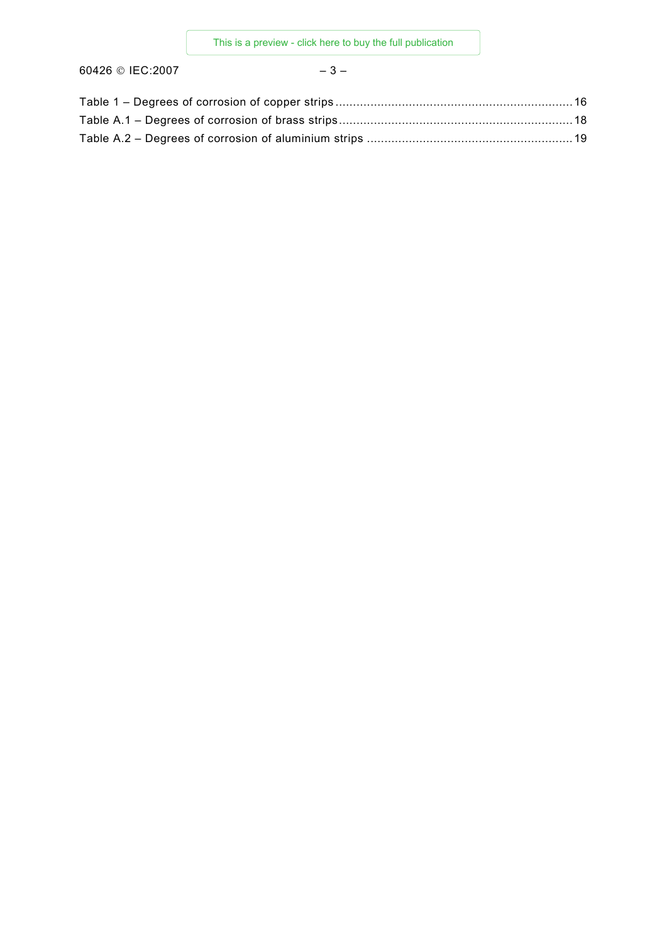60426 © IEC:2007 – 3 –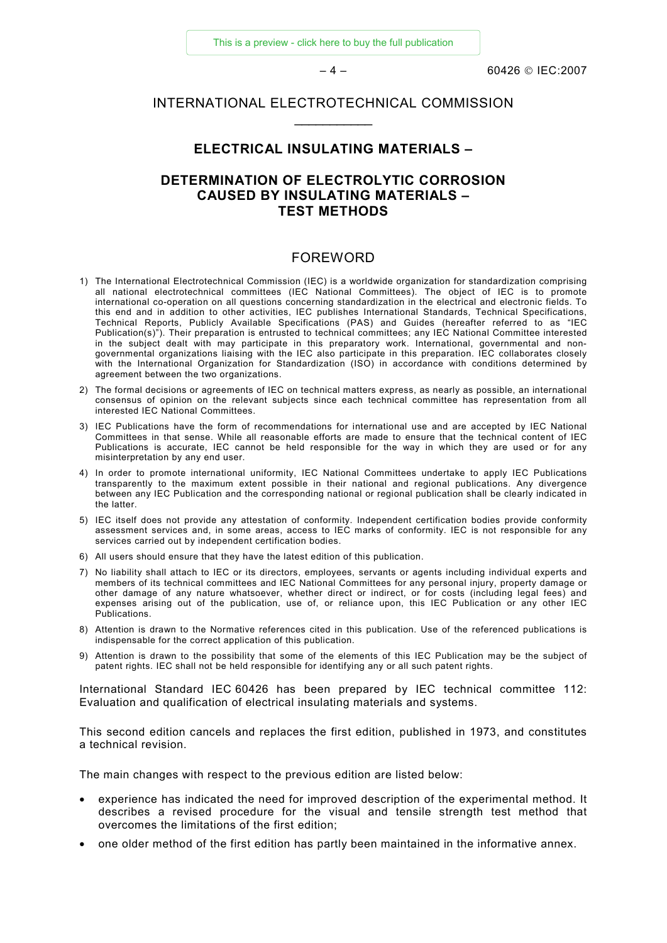$-4 -$  60426 © IFC:2007

#### INTERNATIONAL ELECTROTECHNICAL COMMISSION  $\frac{1}{2}$  ,  $\frac{1}{2}$  ,  $\frac{1}{2}$  ,  $\frac{1}{2}$  ,  $\frac{1}{2}$

#### **ELECTRICAL INSULATING MATERIALS –**

#### **DETERMINATION OF ELECTROLYTIC CORROSION CAUSED BY INSULATING MATERIALS – TEST METHODS**

#### FOREWORD

- 1) The International Electrotechnical Commission (IEC) is a worldwide organization for standardization comprising all national electrotechnical committees (IEC National Committees). The object of IEC is to promote international co-operation on all questions concerning standardization in the electrical and electronic fields. To this end and in addition to other activities, IEC publishes International Standards, Technical Specifications, Technical Reports, Publicly Available Specifications (PAS) and Guides (hereafter referred to as "IEC Publication(s)"). Their preparation is entrusted to technical committees; any IEC National Committee interested in the subject dealt with may participate in this preparatory work. International, governmental and nongovernmental organizations liaising with the IEC also participate in this preparation. IEC collaborates closely with the International Organization for Standardization (ISO) in accordance with conditions determined by agreement between the two organizations.
- 2) The formal decisions or agreements of IEC on technical matters express, as nearly as possible, an international consensus of opinion on the relevant subjects since each technical committee has representation from all interested IEC National Committees.
- 3) IEC Publications have the form of recommendations for international use and are accepted by IEC National Committees in that sense. While all reasonable efforts are made to ensure that the technical content of IEC Publications is accurate, IEC cannot be held responsible for the way in which they are used or for any misinterpretation by any end user.
- 4) In order to promote international uniformity, IEC National Committees undertake to apply IEC Publications transparently to the maximum extent possible in their national and regional publications. Any divergence between any IEC Publication and the corresponding national or regional publication shall be clearly indicated in the latter.
- 5) IEC itself does not provide any attestation of conformity. Independent certification bodies provide conformity assessment services and, in some areas, access to IEC marks of conformity. IEC is not responsible for any services carried out by independent certification bodies.
- 6) All users should ensure that they have the latest edition of this publication.
- 7) No liability shall attach to IEC or its directors, employees, servants or agents including individual experts and members of its technical committees and IEC National Committees for any personal injury, property damage or other damage of any nature whatsoever, whether direct or indirect, or for costs (including legal fees) and expenses arising out of the publication, use of, or reliance upon, this IEC Publication or any other IEC Publications.
- 8) Attention is drawn to the Normative references cited in this publication. Use of the referenced publications is indispensable for the correct application of this publication.
- 9) Attention is drawn to the possibility that some of the elements of this IEC Publication may be the subject of patent rights. IEC shall not be held responsible for identifying any or all such patent rights.

International Standard IEC 60426 has been prepared by IEC technical committee 112: Evaluation and qualification of electrical insulating materials and systems.

This second edition cancels and replaces the first edition, published in 1973, and constitutes a technical revision.

The main changes with respect to the previous edition are listed below:

- experience has indicated the need for improved description of the experimental method. It describes a revised procedure for the visual and tensile strength test method that overcomes the limitations of the first edition;
- one older method of the first edition has partly been maintained in the informative annex.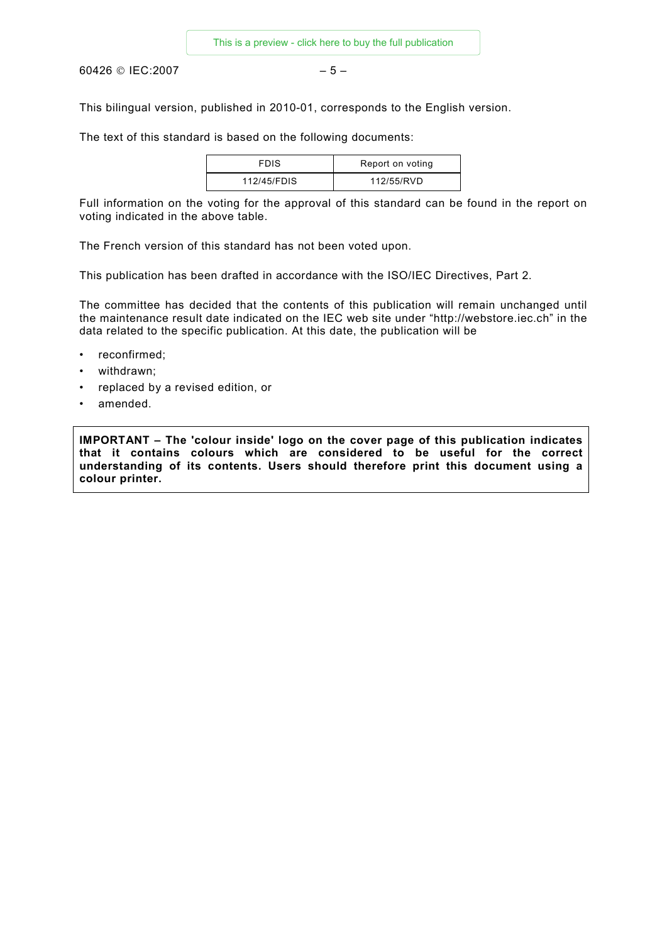$60426$  © IEC:2007 – 5 –

This bilingual version, published in 2010-01, corresponds to the English version.

The text of this standard is based on the following documents:

| <b>FDIS</b> | Report on voting |
|-------------|------------------|
| 112/45/FDIS | 112/55/RVD       |

Full information on the voting for the approval of this standard can be found in the report on voting indicated in the above table.

The French version of this standard has not been voted upon.

This publication has been drafted in accordance with the ISO/IEC Directives, Part 2.

The committee has decided that the contents of this publication will remain unchanged until the maintenance result date indicated on the IEC web site under "http://webstore.iec.ch" in the data related to the specific publication. At this date, the publication will be

- reconfirmed;
- withdrawn;
- replaced by a revised edition, or
- amended.

**IMPORTANT – The 'colour inside' logo on the cover page of this publication indicates that it contains colours which are considered to be useful for the correct understanding of its contents. Users should therefore print this document using a colour printer.**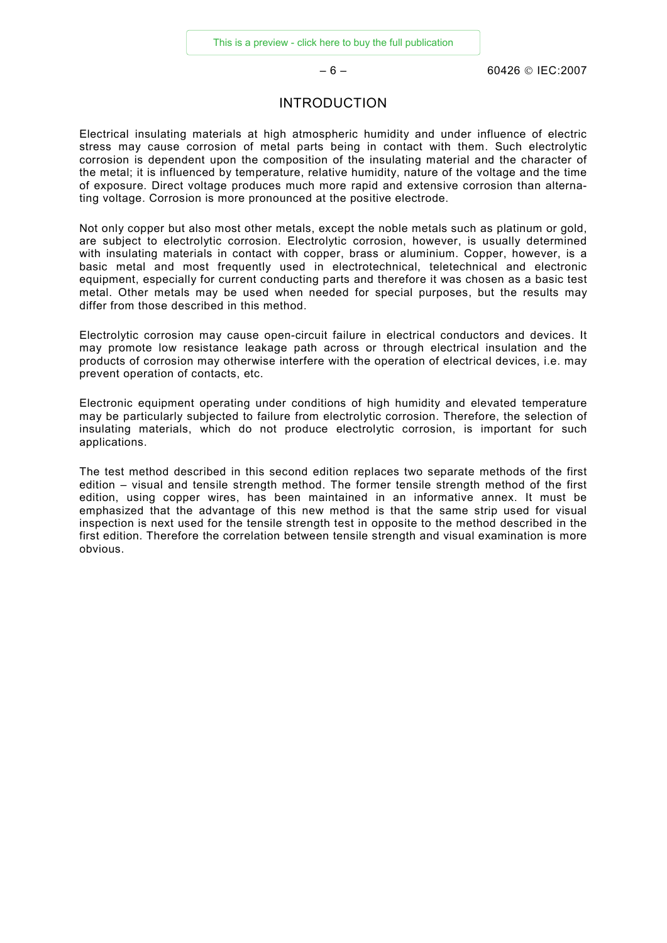#### INTRODUCTION

Electrical insulating materials at high atmospheric humidity and under influence of electric stress may cause corrosion of metal parts being in contact with them. Such electrolytic corrosion is dependent upon the composition of the insulating material and the character of the metal; it is influenced by temperature, relative humidity, nature of the voltage and the time of exposure. Direct voltage produces much more rapid and extensive corrosion than alternating voltage. Corrosion is more pronounced at the positive electrode.

Not only copper but also most other metals, except the noble metals such as platinum or gold, are subject to electrolytic corrosion. Electrolytic corrosion, however, is usually determined with insulating materials in contact with copper, brass or aluminium. Copper, however, is a basic metal and most frequently used in electrotechnical, teletechnical and electronic equipment, especially for current conducting parts and therefore it was chosen as a basic test metal. Other metals may be used when needed for special purposes, but the results may differ from those described in this method.

Electrolytic corrosion may cause open-circuit failure in electrical conductors and devices. It may promote low resistance leakage path across or through electrical insulation and the products of corrosion may otherwise interfere with the operation of electrical devices, i.e. may prevent operation of contacts, etc.

Electronic equipment operating under conditions of high humidity and elevated temperature may be particularly subjected to failure from electrolytic corrosion. Therefore, the selection of insulating materials, which do not produce electrolytic corrosion, is important for such applications.

The test method described in this second edition replaces two separate methods of the first edition – visual and tensile strength method. The former tensile strength method of the first edition, using copper wires, has been maintained in an informative annex. It must be emphasized that the advantage of this new method is that the same strip used for visual inspection is next used for the tensile strength test in opposite to the method described in the first edition. Therefore the correlation between tensile strength and visual examination is more obvious.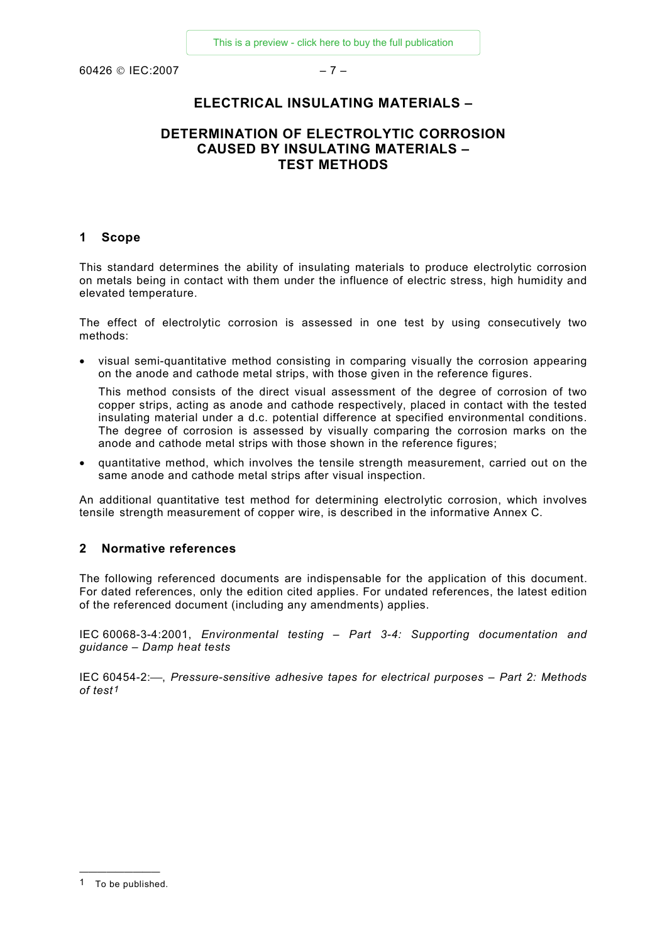$60426$  © IFC:2007 – 7 –

#### **ELECTRICAL INSULATING MATERIALS –**

#### **DETERMINATION OF ELECTROLYTIC CORROSION CAUSED BY INSULATING MATERIALS – TEST METHODS**

#### **1 Scope**

This standard determines the ability of insulating materials to produce electrolytic corrosion on metals being in contact with them under the influence of electric stress, high humidity and elevated temperature.

The effect of electrolytic corrosion is assessed in one test by using consecutively two methods:

• visual semi-quantitative method consisting in comparing visually the corrosion appearing on the anode and cathode metal strips, with those given in the reference figures.

 This method consists of the direct visual assessment of the degree of corrosion of two copper strips, acting as anode and cathode respectively, placed in contact with the tested insulating material under a d.c. potential difference at specified environmental conditions. The degree of corrosion is assessed by visually comparing the corrosion marks on the anode and cathode metal strips with those shown in the reference figures;

• quantitative method, which involves the tensile strength measurement, carried out on the same anode and cathode metal strips after visual inspection.

An additional quantitative test method for determining electrolytic corrosion, which involves tensile strength measurement of copper wire, is described in the informative Annex C.

#### **2 Normative references**

The following referenced documents are indispensable for the application of this document. For dated references, only the edition cited applies. For undated references, the latest edition of the referenced document (including any amendments) applies.

IEC 60068-3-4:2001, *Environmental testing – Part 3-4: Supporting documentation and guidance – Damp heat tests*

IEC 60454-2:—, Pressure-sensitive adhesive tapes for electrical purposes - Part 2: Methods *of test1*

<sup>—————————</sup>  1 To be published.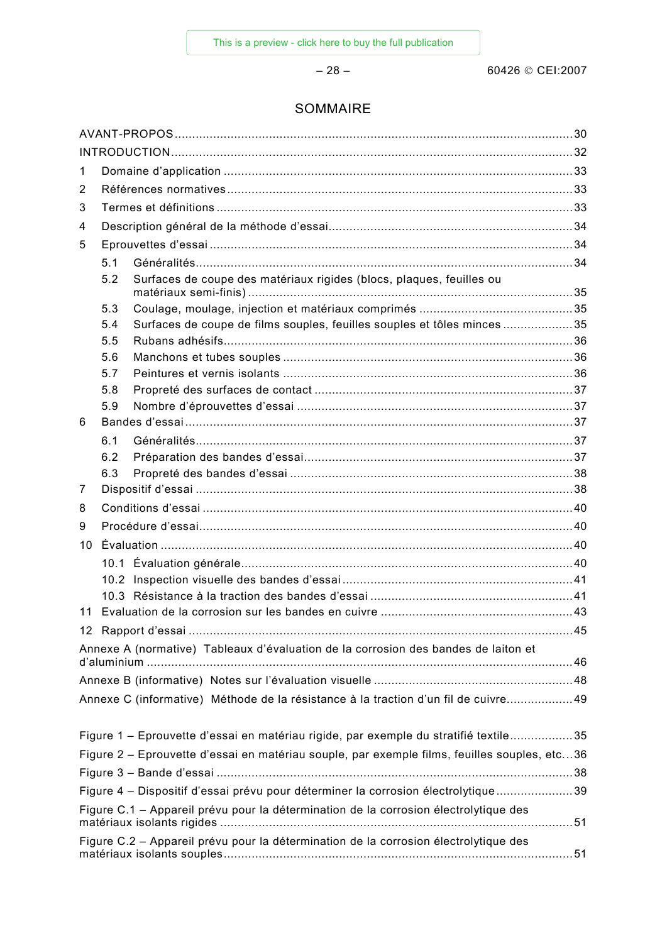### SOMMAIRE

| 1  |                                                                                      |                                                                                              |  |  |  |
|----|--------------------------------------------------------------------------------------|----------------------------------------------------------------------------------------------|--|--|--|
| 2  |                                                                                      |                                                                                              |  |  |  |
| 3  |                                                                                      |                                                                                              |  |  |  |
| 4  |                                                                                      |                                                                                              |  |  |  |
| 5  |                                                                                      |                                                                                              |  |  |  |
|    | 5.1                                                                                  |                                                                                              |  |  |  |
|    | 5.2                                                                                  | Surfaces de coupe des matériaux rigides (blocs, plaques, feuilles ou                         |  |  |  |
|    | 5.3                                                                                  |                                                                                              |  |  |  |
|    | 5.4                                                                                  | Surfaces de coupe de films souples, feuilles souples et tôles minces 35                      |  |  |  |
|    | 5.5                                                                                  |                                                                                              |  |  |  |
|    | 5.6                                                                                  |                                                                                              |  |  |  |
|    | 5.7                                                                                  |                                                                                              |  |  |  |
|    | 5.8                                                                                  |                                                                                              |  |  |  |
|    | 5.9                                                                                  |                                                                                              |  |  |  |
| 6  |                                                                                      |                                                                                              |  |  |  |
|    | 6.1                                                                                  |                                                                                              |  |  |  |
|    | 6.2                                                                                  |                                                                                              |  |  |  |
|    | 6.3                                                                                  |                                                                                              |  |  |  |
| 7  |                                                                                      |                                                                                              |  |  |  |
| 8  |                                                                                      |                                                                                              |  |  |  |
| 9  |                                                                                      |                                                                                              |  |  |  |
| 10 |                                                                                      |                                                                                              |  |  |  |
|    |                                                                                      |                                                                                              |  |  |  |
|    |                                                                                      |                                                                                              |  |  |  |
|    |                                                                                      |                                                                                              |  |  |  |
| 11 |                                                                                      |                                                                                              |  |  |  |
|    |                                                                                      |                                                                                              |  |  |  |
|    |                                                                                      | Annexe A (normative) Tableaux d'évaluation de la corrosion des bandes de laiton et           |  |  |  |
|    |                                                                                      |                                                                                              |  |  |  |
|    |                                                                                      | Annexe C (informative) Méthode de la résistance à la traction d'un fil de cuivre49           |  |  |  |
|    |                                                                                      | Figure 1 – Eprouvette d'essai en matériau rigide, par exemple du stratifié textile35         |  |  |  |
|    |                                                                                      | Figure 2 - Eprouvette d'essai en matériau souple, par exemple films, feuilles souples, etc36 |  |  |  |
|    |                                                                                      |                                                                                              |  |  |  |
|    |                                                                                      | Figure 4 - Dispositif d'essai prévu pour déterminer la corrosion électrolytique39            |  |  |  |
|    |                                                                                      | Figure C.1 - Appareil prévu pour la détermination de la corrosion électrolytique des         |  |  |  |
|    | Figure C.2 - Appareil prévu pour la détermination de la corrosion électrolytique des |                                                                                              |  |  |  |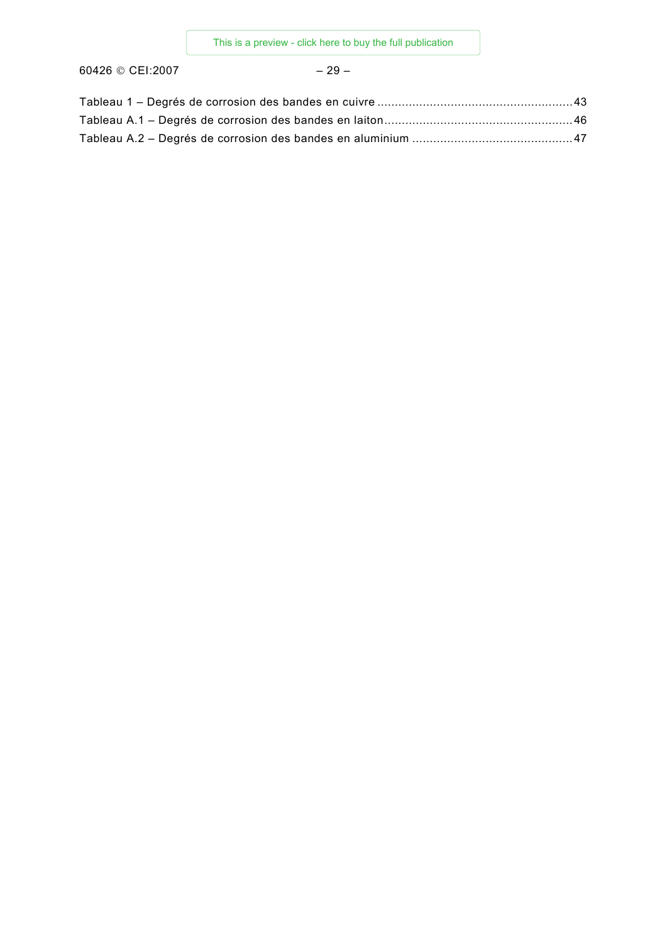60426 © CEI:2007 - 29 -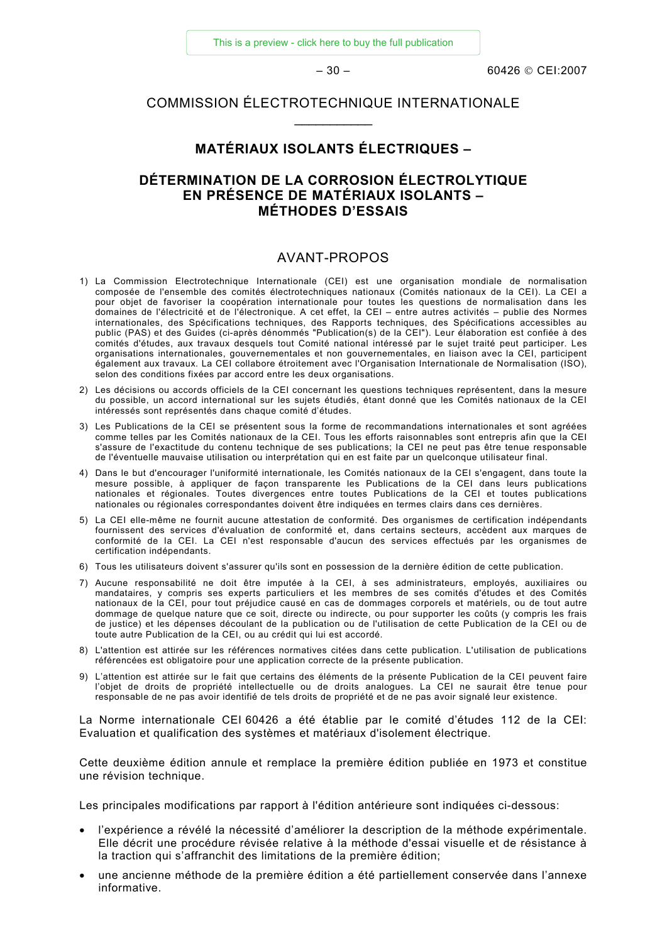[This is a preview - click here to buy the full publication](https://webstore.iec.ch/publication/2118&preview=1)

 $-30 - 60426$  © CFI:2007

#### COMMISSION ÉLECTROTECHNIQUE INTERNATIONALE  $\frac{1}{2}$  ,  $\frac{1}{2}$  ,  $\frac{1}{2}$  ,  $\frac{1}{2}$  ,  $\frac{1}{2}$

#### **MATÉRIAUX ISOLANTS ÉLECTRIQUES –**

#### **DÉTERMINATION DE LA CORROSION ÉLECTROLYTIQUE EN PRÉSENCE DE MATÉRIAUX ISOLANTS – MÉTHODES D'ESSAIS**

#### AVANT-PROPOS

- 1) La Commission Electrotechnique Internationale (CEI) est une organisation mondiale de normalisation composée de l'ensemble des comités électrotechniques nationaux (Comités nationaux de la CEI). La CEI a pour objet de favoriser la coopération internationale pour toutes les questions de normalisation dans les domaines de l'électricité et de l'électronique. A cet effet, la CEI – entre autres activités – publie des Normes internationales, des Spécifications techniques, des Rapports techniques, des Spécifications accessibles au public (PAS) et des Guides (ci-après dénommés "Publication(s) de la CEI"). Leur élaboration est confiée à des comités d'études, aux travaux desquels tout Comité national intéressé par le sujet traité peut participer. Les organisations internationales, gouvernementales et non gouvernementales, en liaison avec la CEI, participent également aux travaux. La CEI collabore étroitement avec l'Organisation Internationale de Normalisation (ISO), selon des conditions fixées par accord entre les deux organisations.
- 2) Les décisions ou accords officiels de la CEI concernant les questions techniques représentent, dans la mesure du possible, un accord international sur les sujets étudiés, étant donné que les Comités nationaux de la CEI intéressés sont représentés dans chaque comité d'études.
- 3) Les Publications de la CEI se présentent sous la forme de recommandations internationales et sont agréées comme telles par les Comités nationaux de la CEI. Tous les efforts raisonnables sont entrepris afin que la CEI s'assure de l'exactitude du contenu technique de ses publications; la CEI ne peut pas être tenue responsable de l'éventuelle mauvaise utilisation ou interprétation qui en est faite par un quelconque utilisateur final.
- 4) Dans le but d'encourager l'uniformité internationale, les Comités nationaux de la CEI s'engagent, dans toute la mesure possible, à appliquer de façon transparente les Publications de la CEI dans leurs publications nationales et régionales. Toutes divergences entre toutes Publications de la CEI et toutes publications nationales ou régionales correspondantes doivent être indiquées en termes clairs dans ces dernières.
- 5) La CEI elle-même ne fournit aucune attestation de conformité. Des organismes de certification indépendants fournissent des services d'évaluation de conformité et, dans certains secteurs, accèdent aux marques de conformité de la CEI. La CEI n'est responsable d'aucun des services effectués par les organismes de certification indépendants.
- 6) Tous les utilisateurs doivent s'assurer qu'ils sont en possession de la dernière édition de cette publication.
- 7) Aucune responsabilité ne doit être imputée à la CEI, à ses administrateurs, employés, auxiliaires ou mandataires, y compris ses experts particuliers et les membres de ses comités d'études et des Comités nationaux de la CEI, pour tout préjudice causé en cas de dommages corporels et matériels, ou de tout autre dommage de quelque nature que ce soit, directe ou indirecte, ou pour supporter les coûts (y compris les frais de justice) et les dépenses découlant de la publication ou de l'utilisation de cette Publication de la CEI ou de toute autre Publication de la CEI, ou au crédit qui lui est accordé.
- 8) L'attention est attirée sur les références normatives citées dans cette publication. L'utilisation de publications référencées est obligatoire pour une application correcte de la présente publication.
- 9) L'attention est attirée sur le fait que certains des éléments de la présente Publication de la CEI peuvent faire l'objet de droits de propriété intellectuelle ou de droits analogues. La CEI ne saurait être tenue pour responsable de ne pas avoir identifié de tels droits de propriété et de ne pas avoir signalé leur existence.

La Norme internationale CEI 60426 a été établie par le comité d'études 112 de la CEI: Evaluation et qualification des systèmes et matériaux d'isolement électrique.

Cette deuxième édition annule et remplace la première édition publiée en 1973 et constitue une révision technique.

Les principales modifications par rapport à l'édition antérieure sont indiquées ci-dessous:

- l'expérience a révélé la nécessité d'améliorer la description de la méthode expérimentale. Elle décrit une procédure révisée relative à la méthode d'essai visuelle et de résistance à la traction qui s'affranchit des limitations de la première édition;
- une ancienne méthode de la première édition a été partiellement conservée dans l'annexe informative.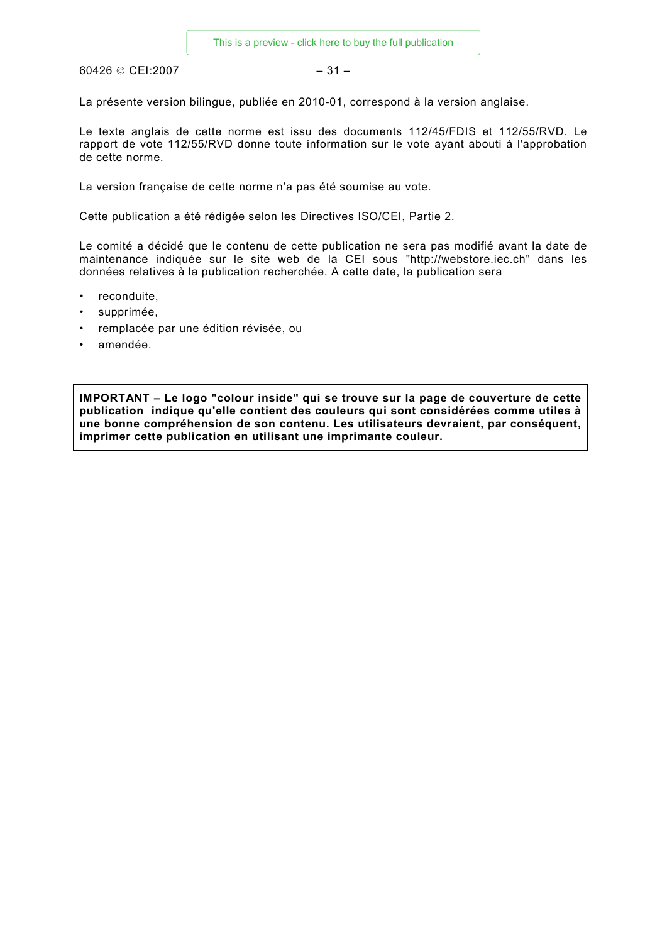60426 © CEI:2007 – 31

La présente version bilingue, publiée en 2010-01, correspond à la version anglaise.

Le texte anglais de cette norme est issu des documents 112/45/FDIS et 112/55/RVD. Le rapport de vote 112/55/RVD donne toute information sur le vote ayant abouti à l'approbation de cette norme.

La version française de cette norme n'a pas été soumise au vote.

Cette publication a été rédigée selon les Directives ISO/CEI, Partie 2.

Le comité a décidé que le contenu de cette publication ne sera pas modifié avant la date de maintenance indiquée sur le site web de la CEI sous "http://webstore.iec.ch" dans les données relatives à la publication recherchée. A cette date, la publication sera

- reconduite.
- supprimée.
- remplacée par une édition révisée, ou
- amendée.

**IMPORTANT – Le logo "colour inside" qui se trouve sur la page de couverture de cette publication indique qu'elle contient des couleurs qui sont considérées comme utiles à une bonne compréhension de son contenu. Les utilisateurs devraient, par conséquent, imprimer cette publication en utilisant une imprimante couleur.**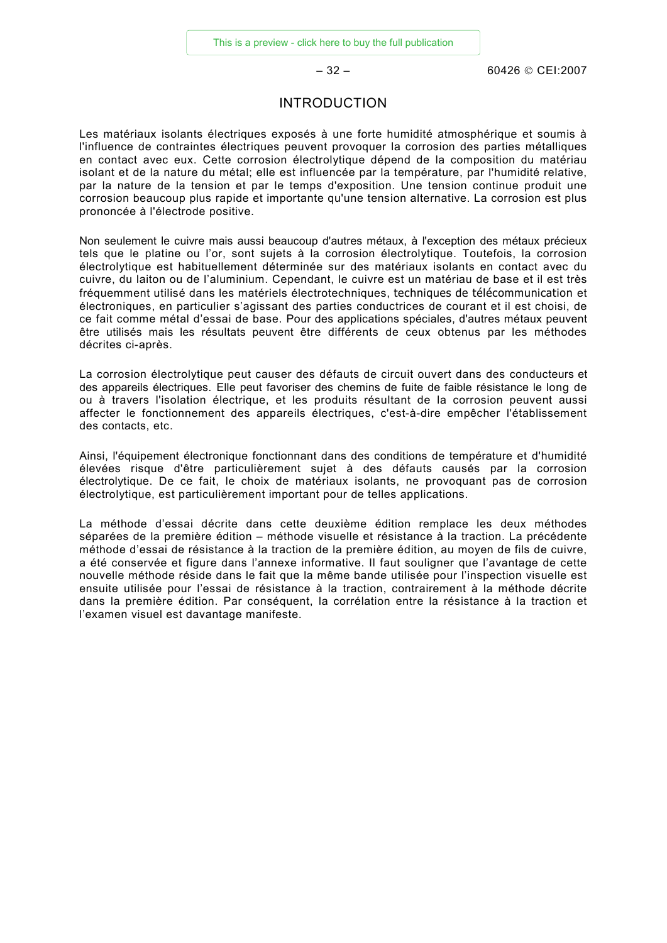$-32 - 60426$  © CFI:2007

#### INTRODUCTION

Les matériaux isolants électriques exposés à une forte humidité atmosphérique et soumis à l'influence de contraintes électriques peuvent provoquer la corrosion des parties métalliques en contact avec eux. Cette corrosion électrolytique dépend de la composition du matériau isolant et de la nature du métal; elle est influencée par la température, par l'humidité relative, par la nature de la tension et par le temps d'exposition. Une tension continue produit une corrosion beaucoup plus rapide et importante qu'une tension alternative. La corrosion est plus prononcée à l'électrode positive.

Non seulement le cuivre mais aussi beaucoup d'autres métaux, à l'exception des métaux précieux tels que le platine ou l'or, sont sujets à la corrosion électrolytique. Toutefois, la corrosion électrolytique est habituellement déterminée sur des matériaux isolants en contact avec du cuivre, du laiton ou de l'aluminium. Cependant, le cuivre est un matériau de base et il est très fréquemment utilisé dans les matériels électrotechniques, techniques de télécommunication et électroniques, en particulier s'agissant des parties conductrices de courant et il est choisi, de ce fait comme métal d'essai de base. Pour des applications spéciales, d'autres métaux peuvent être utilisés mais les résultats peuvent être différents de ceux obtenus par les méthodes décrites ci-après.

La corrosion électrolytique peut causer des défauts de circuit ouvert dans des conducteurs et des appareils électriques. Elle peut favoriser des chemins de fuite de faible résistance le long de ou à travers l'isolation électrique, et les produits résultant de la corrosion peuvent aussi affecter le fonctionnement des appareils électriques, c'est-à-dire empêcher l'établissement des contacts, etc.

Ainsi, l'équipement électronique fonctionnant dans des conditions de température et d'humidité élevées risque d'être particulièrement sujet à des défauts causés par la corrosion électrolytique. De ce fait, le choix de matériaux isolants, ne provoquant pas de corrosion électrolytique, est particulièrement important pour de telles applications.

La méthode d'essai décrite dans cette deuxième édition remplace les deux méthodes séparées de la première édition – méthode visuelle et résistance à la traction. La précédente méthode d'essai de résistance à la traction de la première édition, au moyen de fils de cuivre, a été conservée et figure dans l'annexe informative. Il faut souligner que l'avantage de cette nouvelle méthode réside dans le fait que la même bande utilisée pour l'inspection visuelle est ensuite utilisée pour l'essai de résistance à la traction, contrairement à la méthode décrite dans la première édition. Par conséquent, la corrélation entre la résistance à la traction et l'examen visuel est davantage manifeste.